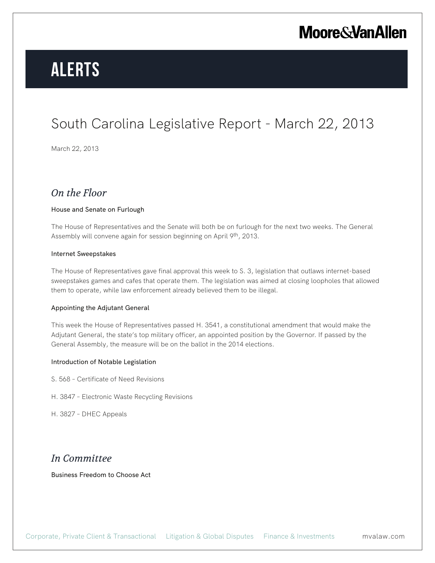## **Moore & Van Allen**

# **Alerts**

## South Carolina Legislative Report - March 22, 2013

March 22, 2013

### *On the Floor*

#### House and Senate on Furlough

The House of Representatives and the Senate will both be on furlough for the next two weeks. The General Assembly will convene again for session beginning on April 9<sup>th</sup>, 2013.

#### Internet Sweepstakes

The House of Representatives gave final approval this week to S. 3, legislation that outlaws internet-based sweepstakes games and cafes that operate them. The legislation was aimed at closing loopholes that allowed them to operate, while law enforcement already believed them to be illegal.

#### Appointing the Adjutant General

This week the House of Representatives passed H. 3541, a constitutional amendment that would make the Adjutant General, the state's top military officer, an appointed position by the Governor. If passed by the General Assembly, the measure will be on the ballot in the 2014 elections.

#### Introduction of Notable Legislation

- S. 568 Certificate of Need Revisions
- H. 3847 Electronic Waste Recycling Revisions

H. 3827 – DHEC Appeals

### *In Committee*

Business Freedom to Choose Act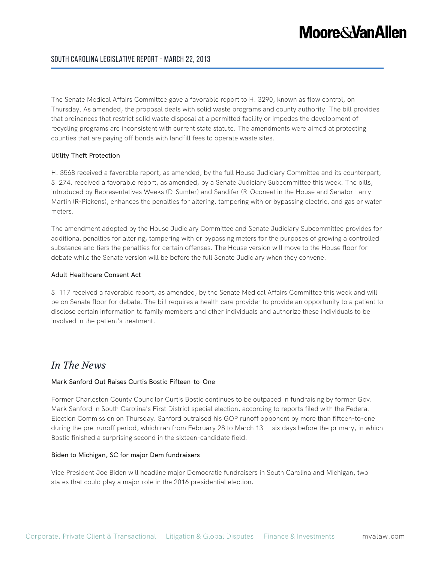## **Moore & Van Allen**

#### South Carolina Legislative Report - March 22, 2013

The Senate Medical Affairs Committee gave a favorable report to H. 3290, known as flow control, on Thursday. As amended, the proposal deals with solid waste programs and county authority. The bill provides that ordinances that restrict solid waste disposal at a permitted facility or impedes the development of recycling programs are inconsistent with current state statute. The amendments were aimed at protecting counties that are paying off bonds with landfill fees to operate waste sites.

#### Utility Theft Protection

H. 3568 received a favorable report, as amended, by the full House Judiciary Committee and its counterpart, S. 274, received a favorable report, as amended, by a Senate Judiciary Subcommittee this week. The bills, introduced by Representatives Weeks (D-Sumter) and Sandifer (R-Oconee) in the House and Senator Larry Martin (R-Pickens), enhances the penalties for altering, tampering with or bypassing electric, and gas or water meters.

The amendment adopted by the House Judiciary Committee and Senate Judiciary Subcommittee provides for additional penalties for altering, tampering with or bypassing meters for the purposes of growing a controlled substance and tiers the penalties for certain offenses. The House version will move to the House floor for debate while the Senate version will be before the full Senate Judiciary when they convene.

#### Adult Healthcare Consent Act

S. 117 received a favorable report, as amended, by the Senate Medical Affairs Committee this week and will be on Senate floor for debate. The bill requires a health care provider to provide an opportunity to a patient to disclose certain information to family members and other individuals and authorize these individuals to be involved in the patient's treatment.

### *In The News*

#### Mark Sanford Out Raises Curtis Bostic Fifteen-to-One

Former Charleston County Councilor Curtis Bostic continues to be outpaced in fundraising by former Gov. Mark Sanford in South Carolina's First District special election, according to reports filed with the Federal Election Commission on Thursday. Sanford outraised his GOP runoff opponent by more than fifteen-to-one during the pre-runoff period, which ran from February 28 to March 13 -- six days before the primary, in which Bostic finished a surprising second in the sixteen-candidate field.

#### Biden to Michigan, SC for major Dem fundraisers

Vice President Joe Biden will headline major Democratic fundraisers in South Carolina and Michigan, two states that could play a major role in the 2016 presidential election.